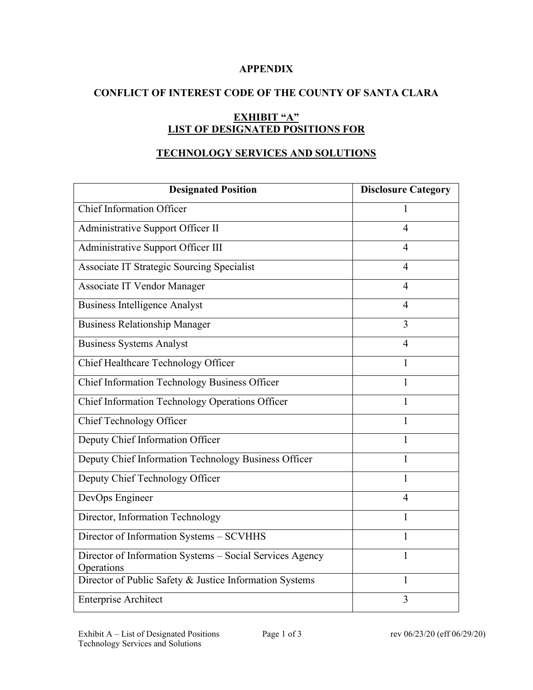### **APPENDIX**

## **CONFLICT OF INTEREST CODE OF THE COUNTY OF SANTA CLARA**

# **EXHIBIT "A" LIST OF DESIGNATED POSITIONS FOR**

## **TECHNOLOGY SERVICES AND SOLUTIONS**

| <b>Designated Position</b>                                             | <b>Disclosure Category</b> |
|------------------------------------------------------------------------|----------------------------|
| <b>Chief Information Officer</b>                                       | 1                          |
| Administrative Support Officer II                                      | $\overline{4}$             |
| Administrative Support Officer III                                     | 4                          |
| Associate IT Strategic Sourcing Specialist                             | $\overline{4}$             |
| Associate IT Vendor Manager                                            | 4                          |
| <b>Business Intelligence Analyst</b>                                   | $\overline{4}$             |
| <b>Business Relationship Manager</b>                                   | $\overline{3}$             |
| <b>Business Systems Analyst</b>                                        | $\overline{4}$             |
| Chief Healthcare Technology Officer                                    | 1                          |
| Chief Information Technology Business Officer                          | 1                          |
| Chief Information Technology Operations Officer                        | 1                          |
| Chief Technology Officer                                               | 1                          |
| Deputy Chief Information Officer                                       | 1                          |
| Deputy Chief Information Technology Business Officer                   | 1                          |
| Deputy Chief Technology Officer                                        | 1                          |
| DevOps Engineer                                                        | 4                          |
| Director, Information Technology                                       | 1                          |
| Director of Information Systems - SCVHHS                               | 1                          |
| Director of Information Systems - Social Services Agency<br>Operations | 1                          |
| Director of Public Safety & Justice Information Systems                | $\mathbf{1}$               |
| <b>Enterprise Architect</b>                                            | 3                          |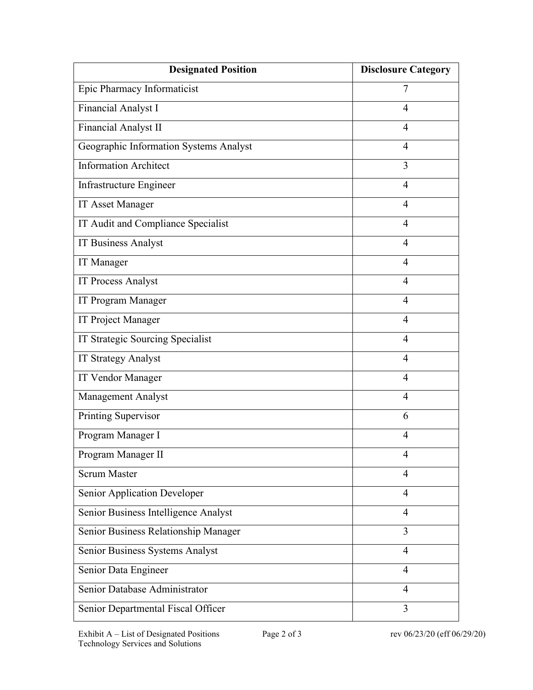| <b>Designated Position</b>             | <b>Disclosure Category</b> |
|----------------------------------------|----------------------------|
| Epic Pharmacy Informaticist            | 7                          |
| Financial Analyst I                    | $\overline{4}$             |
| Financial Analyst II                   | $\overline{4}$             |
| Geographic Information Systems Analyst | $\overline{4}$             |
| <b>Information Architect</b>           | 3                          |
| Infrastructure Engineer                | $\overline{4}$             |
| <b>IT Asset Manager</b>                | $\overline{4}$             |
| IT Audit and Compliance Specialist     | $\overline{4}$             |
| <b>IT Business Analyst</b>             | $\overline{4}$             |
| <b>IT</b> Manager                      | $\overline{4}$             |
| <b>IT Process Analyst</b>              | $\overline{4}$             |
| IT Program Manager                     | $\overline{4}$             |
| IT Project Manager                     | $\overline{4}$             |
| IT Strategic Sourcing Specialist       | $\overline{4}$             |
| <b>IT Strategy Analyst</b>             | $\overline{4}$             |
| <b>IT Vendor Manager</b>               | 4                          |
| Management Analyst                     | $\overline{4}$             |
| Printing Supervisor                    | 6                          |
| Program Manager I                      | $\overline{4}$             |
| Program Manager II                     | $\overline{4}$             |
| <b>Scrum Master</b>                    | $\overline{4}$             |
| Senior Application Developer           | $\overline{4}$             |
| Senior Business Intelligence Analyst   | $\overline{4}$             |
| Senior Business Relationship Manager   | 3                          |
| Senior Business Systems Analyst        | $\overline{4}$             |
| Senior Data Engineer                   | $\overline{4}$             |
| Senior Database Administrator          | $\overline{4}$             |
| Senior Departmental Fiscal Officer     | 3                          |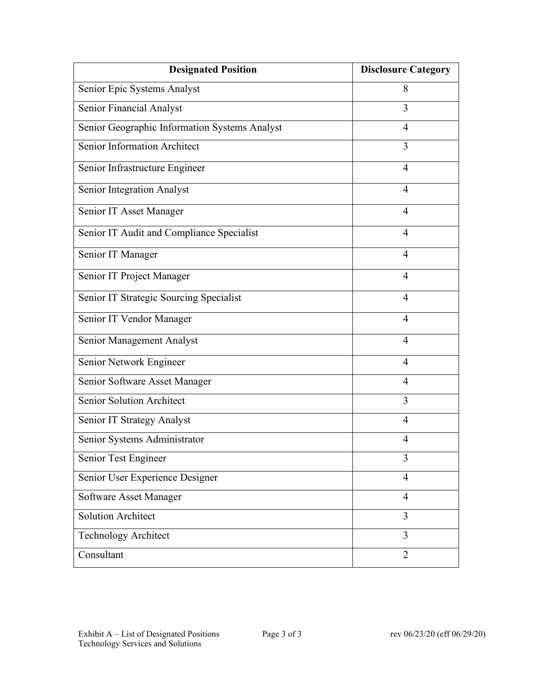| <b>Designated Position</b>                    | <b>Disclosure Category</b> |
|-----------------------------------------------|----------------------------|
| Senior Epic Systems Analyst                   | 8                          |
| Senior Financial Analyst                      | 3                          |
| Senior Geographic Information Systems Analyst | 4                          |
| Senior Information Architect                  | 3                          |
| Senior Infrastructure Engineer                | $\overline{4}$             |
| <b>Senior Integration Analyst</b>             | 4                          |
| Senior IT Asset Manager                       | $\overline{4}$             |
| Senior IT Audit and Compliance Specialist     | $\overline{4}$             |
| Senior IT Manager                             | $\overline{4}$             |
| Senior IT Project Manager                     | $\overline{4}$             |
| Senior IT Strategic Sourcing Specialist       | $\overline{4}$             |
| Senior IT Vendor Manager                      | $\overline{4}$             |
| Senior Management Analyst                     | 4                          |
| Senior Network Engineer                       | $\overline{4}$             |
| Senior Software Asset Manager                 | 4                          |
| <b>Senior Solution Architect</b>              | 3                          |
| Senior IT Strategy Analyst                    | 4                          |
| Senior Systems Administrator                  | 4                          |
| Senior Test Engineer                          | 3                          |
| Senior User Experience Designer               | $\overline{4}$             |
| Software Asset Manager                        | $\overline{4}$             |
| <b>Solution Architect</b>                     | 3                          |
| <b>Technology Architect</b>                   | 3                          |
| Consultant                                    | $\overline{2}$             |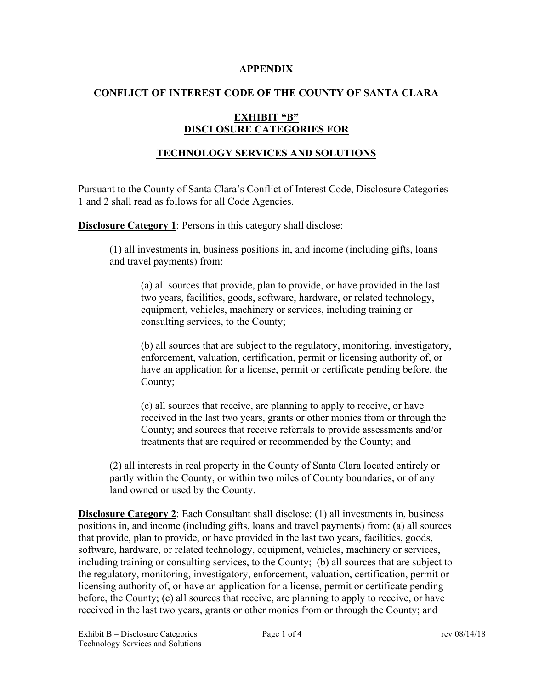#### **APPENDIX**

### **CONFLICT OF INTEREST CODE OF THE COUNTY OF SANTA CLARA**

### **EXHIBIT "B" DISCLOSURE CATEGORIES FOR**

## **TECHNOLOGY SERVICES AND SOLUTIONS**

Pursuant to the County of Santa Clara's Conflict of Interest Code, Disclosure Categories 1 and 2 shall read as follows for all Code Agencies.

**Disclosure Category 1:** Persons in this category shall disclose:

(1) all investments in, business positions in, and income (including gifts, loans and travel payments) from:

(a) all sources that provide, plan to provide, or have provided in the last two years, facilities, goods, software, hardware, or related technology, equipment, vehicles, machinery or services, including training or consulting services, to the County;

(b) all sources that are subject to the regulatory, monitoring, investigatory, enforcement, valuation, certification, permit or licensing authority of, or have an application for a license, permit or certificate pending before, the County;

(c) all sources that receive, are planning to apply to receive, or have received in the last two years, grants or other monies from or through the County; and sources that receive referrals to provide assessments and/or treatments that are required or recommended by the County; and

(2) all interests in real property in the County of Santa Clara located entirely or partly within the County, or within two miles of County boundaries, or of any land owned or used by the County.

**Disclosure Category 2**: Each Consultant shall disclose: (1) all investments in, business positions in, and income (including gifts, loans and travel payments) from: (a) all sources that provide, plan to provide, or have provided in the last two years, facilities, goods, software, hardware, or related technology, equipment, vehicles, machinery or services, including training or consulting services, to the County; (b) all sources that are subject to the regulatory, monitoring, investigatory, enforcement, valuation, certification, permit or licensing authority of, or have an application for a license, permit or certificate pending before, the County; (c) all sources that receive, are planning to apply to receive, or have received in the last two years, grants or other monies from or through the County; and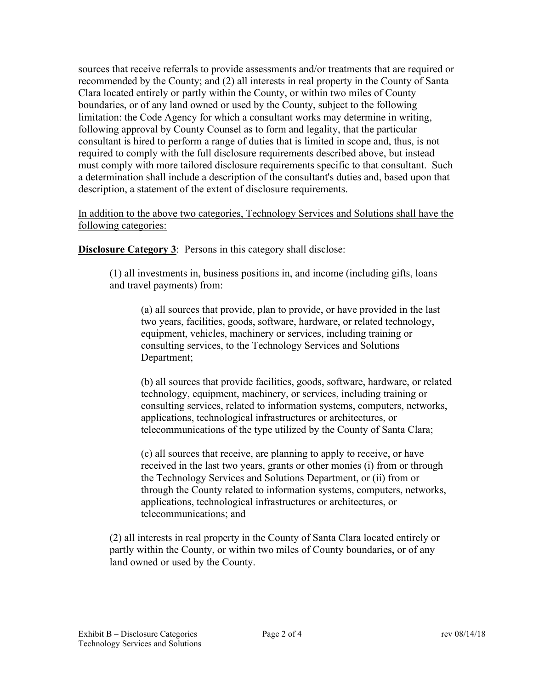sources that receive referrals to provide assessments and/or treatments that are required or recommended by the County; and (2) all interests in real property in the County of Santa Clara located entirely or partly within the County, or within two miles of County boundaries, or of any land owned or used by the County, subject to the following limitation: the Code Agency for which a consultant works may determine in writing, following approval by County Counsel as to form and legality, that the particular consultant is hired to perform a range of duties that is limited in scope and, thus, is not required to comply with the full disclosure requirements described above, but instead must comply with more tailored disclosure requirements specific to that consultant. Such a determination shall include a description of the consultant's duties and, based upon that description, a statement of the extent of disclosure requirements.

In addition to the above two categories, Technology Services and Solutions shall have the following categories:

**Disclosure Category 3:** Persons in this category shall disclose:

(1) all investments in, business positions in, and income (including gifts, loans and travel payments) from:

(a) all sources that provide, plan to provide, or have provided in the last two years, facilities, goods, software, hardware, or related technology, equipment, vehicles, machinery or services, including training or consulting services, to the Technology Services and Solutions Department;

(b) all sources that provide facilities, goods, software, hardware, or related technology, equipment, machinery, or services, including training or consulting services, related to information systems, computers, networks, applications, technological infrastructures or architectures, or telecommunications of the type utilized by the County of Santa Clara;

(c) all sources that receive, are planning to apply to receive, or have received in the last two years, grants or other monies (i) from or through the Technology Services and Solutions Department, or (ii) from or through the County related to information systems, computers, networks, applications, technological infrastructures or architectures, or telecommunications; and

(2) all interests in real property in the County of Santa Clara located entirely or partly within the County, or within two miles of County boundaries, or of any land owned or used by the County.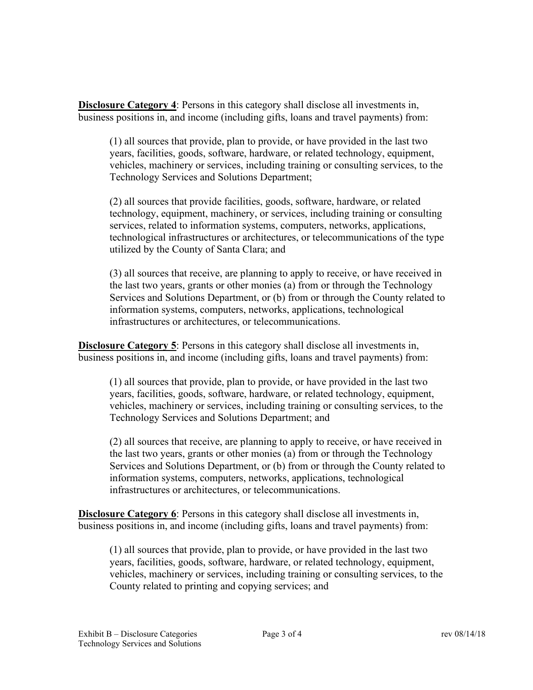**Disclosure Category 4**: Persons in this category shall disclose all investments in, business positions in, and income (including gifts, loans and travel payments) from:

(1) all sources that provide, plan to provide, or have provided in the last two years, facilities, goods, software, hardware, or related technology, equipment, vehicles, machinery or services, including training or consulting services, to the Technology Services and Solutions Department;

(2) all sources that provide facilities, goods, software, hardware, or related technology, equipment, machinery, or services, including training or consulting services, related to information systems, computers, networks, applications, technological infrastructures or architectures, or telecommunications of the type utilized by the County of Santa Clara; and

(3) all sources that receive, are planning to apply to receive, or have received in the last two years, grants or other monies (a) from or through the Technology Services and Solutions Department, or (b) from or through the County related to information systems, computers, networks, applications, technological infrastructures or architectures, or telecommunications.

**Disclosure Category 5**: Persons in this category shall disclose all investments in, business positions in, and income (including gifts, loans and travel payments) from:

(1) all sources that provide, plan to provide, or have provided in the last two years, facilities, goods, software, hardware, or related technology, equipment, vehicles, machinery or services, including training or consulting services, to the Technology Services and Solutions Department; and

(2) all sources that receive, are planning to apply to receive, or have received in the last two years, grants or other monies (a) from or through the Technology Services and Solutions Department, or (b) from or through the County related to information systems, computers, networks, applications, technological infrastructures or architectures, or telecommunications.

**Disclosure Category 6**: Persons in this category shall disclose all investments in, business positions in, and income (including gifts, loans and travel payments) from:

(1) all sources that provide, plan to provide, or have provided in the last two years, facilities, goods, software, hardware, or related technology, equipment, vehicles, machinery or services, including training or consulting services, to the County related to printing and copying services; and